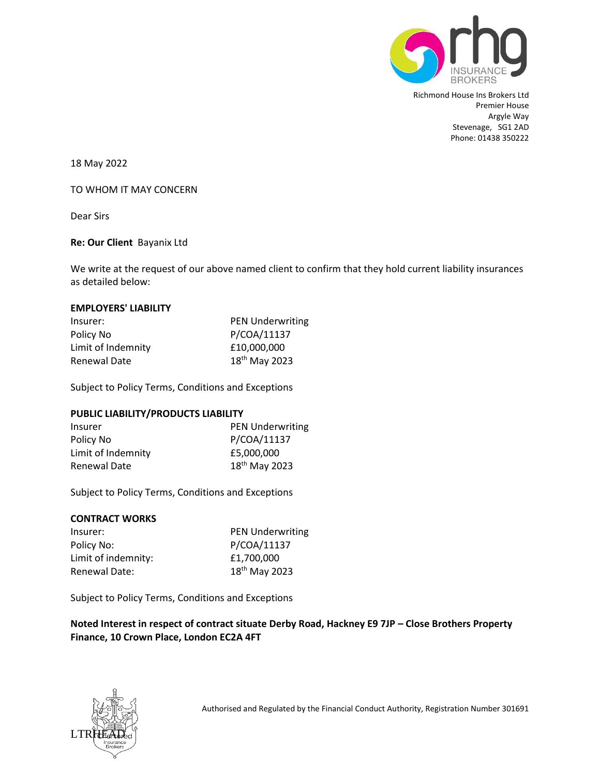

Richmond House Ins Brokers Ltd Premier House Argyle Way Stevenage, SG1 2AD Phone: 01438 350222

18 May 2022

## TO WHOM IT MAY CONCERN

Dear Sirs

## **Re: Our Client** Bayanix Ltd

We write at the request of our above named client to confirm that they hold current liability insurances as detailed below:

#### **EMPLOYERS' LIABILITY**

| Insurer:           | <b>PEN Underwriting</b>   |
|--------------------|---------------------------|
| Policy No          | P/COA/11137               |
| Limit of Indemnity | £10,000,000               |
| Renewal Date       | 18 <sup>th</sup> May 2023 |

Subject to Policy Terms, Conditions and Exceptions

#### **PUBLIC LIABILITY/PRODUCTS LIABILITY**

| <b>Insurer</b>     | <b>PEN Underwriting</b>   |
|--------------------|---------------------------|
| Policy No          | P/COA/11137               |
| Limit of Indemnity | £5,000,000                |
| Renewal Date       | 18 <sup>th</sup> May 2023 |

Subject to Policy Terms, Conditions and Exceptions

# **CONTRACT WORKS**

| Insurer:             | <b>PEN Underwriting</b>   |
|----------------------|---------------------------|
| Policy No:           | P/COA/11137               |
| Limit of indemnity:  | £1,700,000                |
| <b>Renewal Date:</b> | 18 <sup>th</sup> May 2023 |

Subject to Policy Terms, Conditions and Exceptions

**Noted Interest in respect of contract situate Derby Road, Hackney E9 7JP – Close Brothers Property Finance, 10 Crown Place, London EC2A 4FT**